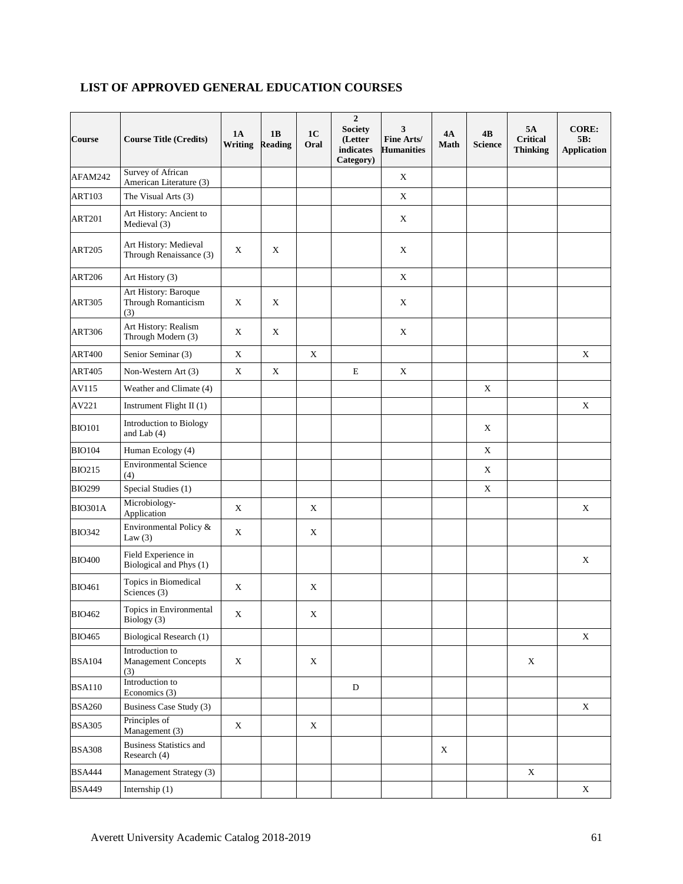| <b>Course</b>  | <b>Course Title (Credits)</b>                        | <b>1A</b><br>Writing | 1B<br><b>Reading</b> | 1 <sub>C</sub><br>Oral | $\overline{2}$<br><b>Society</b><br>(Letter<br>indicates<br>Category) | 3<br>Fine Arts/<br><b>Humanities</b> | 4A<br><b>Math</b> | 4B<br><b>Science</b> | 5A<br><b>Critical</b><br><b>Thinking</b> | <b>CORE:</b><br>5B:<br><b>Application</b> |
|----------------|------------------------------------------------------|----------------------|----------------------|------------------------|-----------------------------------------------------------------------|--------------------------------------|-------------------|----------------------|------------------------------------------|-------------------------------------------|
| AFAM242        | Survey of African<br>American Literature (3)         |                      |                      |                        |                                                                       | $\mathbf X$                          |                   |                      |                                          |                                           |
| <b>ART103</b>  | The Visual Arts (3)                                  |                      |                      |                        |                                                                       | $\mathbf X$                          |                   |                      |                                          |                                           |
| <b>ART201</b>  | Art History: Ancient to<br>Medieval (3)              |                      |                      |                        |                                                                       | $\mathbf X$                          |                   |                      |                                          |                                           |
| <b>ART205</b>  | Art History: Medieval<br>Through Renaissance (3)     | $\mathbf X$          | $\mathbf X$          |                        |                                                                       | $\mathbf X$                          |                   |                      |                                          |                                           |
| <b>ART206</b>  | Art History (3)                                      |                      |                      |                        |                                                                       | $\mathbf X$                          |                   |                      |                                          |                                           |
| <b>ART305</b>  | Art History: Baroque<br>Through Romanticism<br>(3)   | $\mathbf X$          | X                    |                        |                                                                       | $\mathbf X$                          |                   |                      |                                          |                                           |
| <b>ART306</b>  | Art History: Realism<br>Through Modern (3)           | X                    | X                    |                        |                                                                       | X                                    |                   |                      |                                          |                                           |
| <b>ART400</b>  | Senior Seminar (3)                                   | $\mathbf X$          |                      | $\mathbf X$            |                                                                       |                                      |                   |                      |                                          | $\mathbf X$                               |
| <b>ART405</b>  | Non-Western Art (3)                                  | $\mathbf X$          | $\mathbf X$          |                        | $\mathbf E$                                                           | $\mathbf X$                          |                   |                      |                                          |                                           |
| AV115          | Weather and Climate (4)                              |                      |                      |                        |                                                                       |                                      |                   | X                    |                                          |                                           |
| AV221          | Instrument Flight II (1)                             |                      |                      |                        |                                                                       |                                      |                   |                      |                                          | $\mathbf X$                               |
| <b>BIO101</b>  | Introduction to Biology<br>and Lab $(4)$             |                      |                      |                        |                                                                       |                                      |                   | X                    |                                          |                                           |
| <b>BIO104</b>  | Human Ecology (4)                                    |                      |                      |                        |                                                                       |                                      |                   | X                    |                                          |                                           |
| <b>BIO215</b>  | <b>Environmental Science</b><br>(4)                  |                      |                      |                        |                                                                       |                                      |                   | $\mathbf X$          |                                          |                                           |
| <b>BIO299</b>  | Special Studies (1)                                  |                      |                      |                        |                                                                       |                                      |                   | X                    |                                          |                                           |
| <b>BIO301A</b> | Microbiology-<br>Application                         | $\mathbf X$          |                      | $\mathbf X$            |                                                                       |                                      |                   |                      |                                          | $\mathbf X$                               |
| <b>BIO342</b>  | Environmental Policy &<br>Law $(3)$                  | X                    |                      | X                      |                                                                       |                                      |                   |                      |                                          |                                           |
| <b>BIO400</b>  | Field Experience in<br>Biological and Phys (1)       |                      |                      |                        |                                                                       |                                      |                   |                      |                                          | X                                         |
| <b>BIO461</b>  | Topics in Biomedical<br>Sciences (3)                 | $\mathbf X$          |                      | $\mathbf X$            |                                                                       |                                      |                   |                      |                                          |                                           |
| <b>BIO462</b>  | Topics in Environmental<br>Biology (3)               | $\mathbf X$          |                      | $\mathbf X$            |                                                                       |                                      |                   |                      |                                          |                                           |
| <b>BIO465</b>  | Biological Research (1)                              |                      |                      |                        |                                                                       |                                      |                   |                      |                                          | $\mathbf X$                               |
| <b>BSA104</b>  | Introduction to<br><b>Management Concepts</b><br>(3) | $\mathbf X$          |                      | $\mathbf X$            |                                                                       |                                      |                   |                      | X                                        |                                           |
| <b>BSA110</b>  | Introduction to<br>Economics (3)                     |                      |                      |                        | D                                                                     |                                      |                   |                      |                                          |                                           |
| <b>BSA260</b>  | Business Case Study (3)                              |                      |                      |                        |                                                                       |                                      |                   |                      |                                          | X                                         |
| <b>BSA305</b>  | Principles of<br>Management (3)                      | $\mathbf X$          |                      | $\mathbf X$            |                                                                       |                                      |                   |                      |                                          |                                           |
| <b>BSA308</b>  | <b>Business Statistics and</b><br>Research (4)       |                      |                      |                        |                                                                       |                                      | X                 |                      |                                          |                                           |
| <b>BSA444</b>  | Management Strategy (3)                              |                      |                      |                        |                                                                       |                                      |                   |                      | $\mathbf X$                              |                                           |
| <b>BSA449</b>  | Internship $(1)$                                     |                      |                      |                        |                                                                       |                                      |                   |                      |                                          | $\boldsymbol{\mathrm{X}}$                 |

## **LIST OF APPROVED GENERAL EDUCATION COURSES**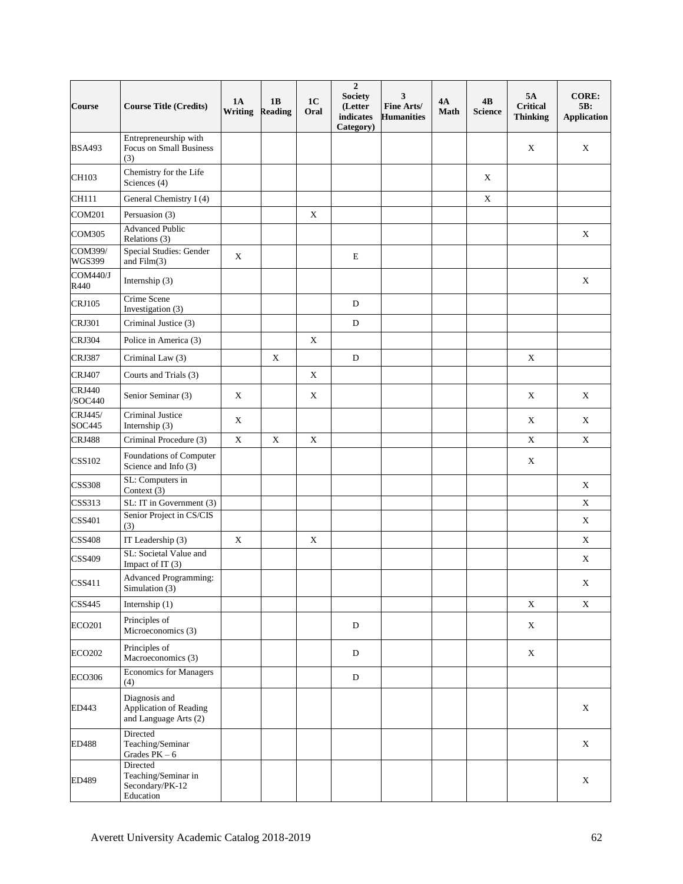| Course                   | <b>Course Title (Credits)</b>                                    | <b>1A</b><br>Writing | 1B<br><b>Reading</b> | 1 <sub>C</sub><br>Oral | $\overline{2}$<br><b>Society</b><br>(Letter<br>indicates<br>Category) | 3<br>Fine Arts/<br><b>Humanities</b> | 4А<br>Math | 4B<br><b>Science</b> | 5A<br><b>Critical</b><br><b>Thinking</b> | <b>CORE:</b><br>5B:<br><b>Application</b> |
|--------------------------|------------------------------------------------------------------|----------------------|----------------------|------------------------|-----------------------------------------------------------------------|--------------------------------------|------------|----------------------|------------------------------------------|-------------------------------------------|
| <b>BSA493</b>            | Entrepreneurship with<br>Focus on Small Business<br>(3)          |                      |                      |                        |                                                                       |                                      |            |                      | X                                        | X                                         |
| CH103                    | Chemistry for the Life<br>Sciences (4)                           |                      |                      |                        |                                                                       |                                      |            | X                    |                                          |                                           |
| CH111                    | General Chemistry I (4)                                          |                      |                      |                        |                                                                       |                                      |            | $\mathbf X$          |                                          |                                           |
| <b>COM201</b>            | Persuasion (3)                                                   |                      |                      | X                      |                                                                       |                                      |            |                      |                                          |                                           |
| <b>COM305</b>            | <b>Advanced Public</b><br>Relations (3)                          |                      |                      |                        |                                                                       |                                      |            |                      |                                          | $\mathbf X$                               |
| COM399/<br><b>WGS399</b> | Special Studies: Gender<br>and Film(3)                           | $\mathbf X$          |                      |                        | E                                                                     |                                      |            |                      |                                          |                                           |
| <b>COM440/J</b><br>R440  | Internship (3)                                                   |                      |                      |                        |                                                                       |                                      |            |                      |                                          | $\mathbf X$                               |
| <b>CRJ105</b>            | Crime Scene<br>Investigation (3)                                 |                      |                      |                        | D                                                                     |                                      |            |                      |                                          |                                           |
| <b>CRJ301</b>            | Criminal Justice (3)                                             |                      |                      |                        | D                                                                     |                                      |            |                      |                                          |                                           |
| <b>CRJ304</b>            | Police in America (3)                                            |                      |                      | $\mathbf X$            |                                                                       |                                      |            |                      |                                          |                                           |
| <b>CRJ387</b>            | Criminal Law (3)                                                 |                      | X                    |                        | $\mathbf D$                                                           |                                      |            |                      | X                                        |                                           |
| <b>CRJ407</b>            | Courts and Trials (3)                                            |                      |                      | $\mathbf X$            |                                                                       |                                      |            |                      |                                          |                                           |
| <b>CRJ440</b><br>/SOC440 | Senior Seminar (3)                                               | $\mathbf X$          |                      | $\mathbf X$            |                                                                       |                                      |            |                      | X                                        | $\mathbf X$                               |
| CRJ445/<br>SOC445        | Criminal Justice<br>Internship (3)                               | $\mathbf X$          |                      |                        |                                                                       |                                      |            |                      | X                                        | X                                         |
| <b>CRJ488</b>            | Criminal Procedure (3)                                           | $\mathbf X$          | $\mathbf X$          | $\mathbf X$            |                                                                       |                                      |            |                      | $\mathbf X$                              | $\mathbf X$                               |
| <b>CSS102</b>            | Foundations of Computer<br>Science and Info (3)                  |                      |                      |                        |                                                                       |                                      |            |                      | X                                        |                                           |
| <b>CSS308</b>            | SL: Computers in<br>Context (3)                                  |                      |                      |                        |                                                                       |                                      |            |                      |                                          | $\mathbf X$                               |
| CSS313                   | SL: IT in Government (3)                                         |                      |                      |                        |                                                                       |                                      |            |                      |                                          | $\mathbf X$                               |
| CSS401                   | Senior Project in CS/CIS<br>(3)                                  |                      |                      |                        |                                                                       |                                      |            |                      |                                          | X                                         |
| <b>CSS408</b>            | IT Leadership (3)                                                | $\mathbf X$          |                      | X                      |                                                                       |                                      |            |                      |                                          | $\mathbf X$                               |
| <b>CSS409</b>            | SL: Societal Value and<br>Impact of IT (3)                       |                      |                      |                        |                                                                       |                                      |            |                      |                                          | X                                         |
| CSS411                   | Advanced Programming:<br>Simulation (3)                          |                      |                      |                        |                                                                       |                                      |            |                      |                                          | X                                         |
| CSS445                   | Internship $(1)$                                                 |                      |                      |                        |                                                                       |                                      |            |                      | $\mathbf X$                              | $\mathbf X$                               |
| ECO201                   | Principles of<br>Microeconomics (3)                              |                      |                      |                        | D                                                                     |                                      |            |                      | $\mathbf X$                              |                                           |
| ECO202                   | Principles of<br>Macroeconomics (3)                              |                      |                      |                        | D                                                                     |                                      |            |                      | $\mathbf X$                              |                                           |
| <b>ECO306</b>            | <b>Economics for Managers</b><br>(4)                             |                      |                      |                        | D                                                                     |                                      |            |                      |                                          |                                           |
| ED443                    | Diagnosis and<br>Application of Reading<br>and Language Arts (2) |                      |                      |                        |                                                                       |                                      |            |                      |                                          | $\mathbf X$                               |
| <b>ED488</b>             | Directed<br>Teaching/Seminar<br>Grades $PK-6$                    |                      |                      |                        |                                                                       |                                      |            |                      |                                          | $\mathbf X$                               |
| ED489                    | Directed<br>Teaching/Seminar in<br>Secondary/PK-12<br>Education  |                      |                      |                        |                                                                       |                                      |            |                      |                                          | X                                         |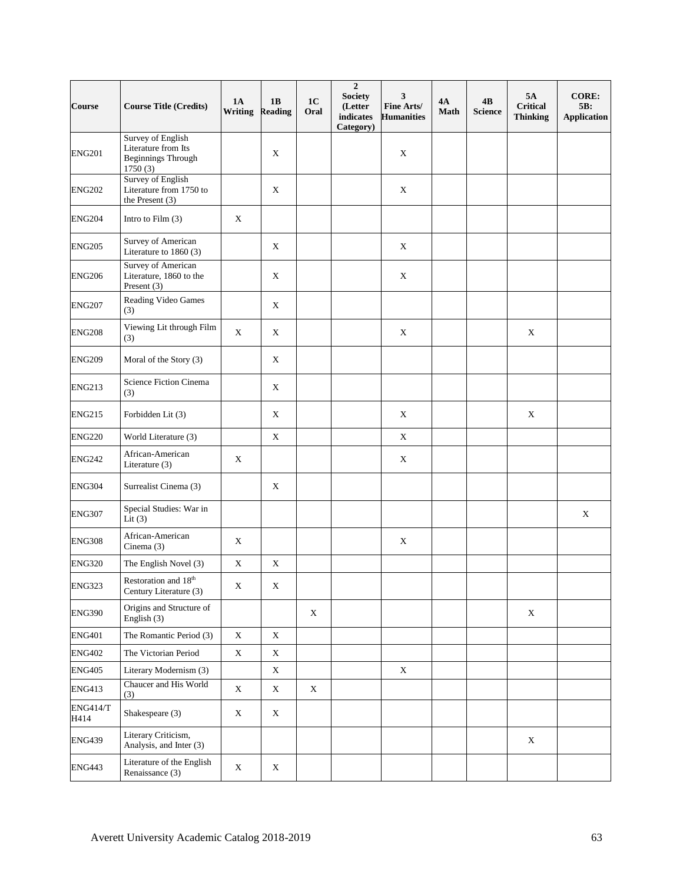| Course                  | <b>Course Title (Credits)</b>                                                    | <b>1A</b><br>Writing | 1B<br><b>Reading</b> | 1 <sub>C</sub><br>Oral | $\overline{2}$<br><b>Society</b><br>(Letter<br>indicates<br>Category) | 3<br>Fine Arts/<br><b>Humanities</b> | <b>4A</b><br><b>Math</b> | 4B<br><b>Science</b> | 5A<br><b>Critical</b><br><b>Thinking</b> | <b>CORE:</b><br>5B:<br><b>Application</b> |
|-------------------------|----------------------------------------------------------------------------------|----------------------|----------------------|------------------------|-----------------------------------------------------------------------|--------------------------------------|--------------------------|----------------------|------------------------------------------|-------------------------------------------|
| <b>ENG201</b>           | Survey of English<br>Literature from Its<br><b>Beginnings Through</b><br>1750(3) |                      | $\mathbf X$          |                        |                                                                       | X                                    |                          |                      |                                          |                                           |
| <b>ENG202</b>           | Survey of English<br>Literature from 1750 to<br>the Present $(3)$                |                      | $\mathbf X$          |                        |                                                                       | $\mathbf X$                          |                          |                      |                                          |                                           |
| <b>ENG204</b>           | Intro to Film $(3)$                                                              | $\mathbf X$          |                      |                        |                                                                       |                                      |                          |                      |                                          |                                           |
| <b>ENG205</b>           | Survey of American<br>Literature to 1860 (3)                                     |                      | $\mathbf X$          |                        |                                                                       | $\mathbf X$                          |                          |                      |                                          |                                           |
| <b>ENG206</b>           | <b>Survey of American</b><br>Literature, 1860 to the<br>Present (3)              |                      | X                    |                        |                                                                       | X                                    |                          |                      |                                          |                                           |
| <b>ENG207</b>           | Reading Video Games<br>(3)                                                       |                      | $\mathbf X$          |                        |                                                                       |                                      |                          |                      |                                          |                                           |
| <b>ENG208</b>           | Viewing Lit through Film<br>(3)                                                  | X                    | X                    |                        |                                                                       | X                                    |                          |                      | X                                        |                                           |
| <b>ENG209</b>           | Moral of the Story (3)                                                           |                      | X                    |                        |                                                                       |                                      |                          |                      |                                          |                                           |
| <b>ENG213</b>           | Science Fiction Cinema<br>(3)                                                    |                      | $\mathbf X$          |                        |                                                                       |                                      |                          |                      |                                          |                                           |
| <b>ENG215</b>           | Forbidden Lit (3)                                                                |                      | X                    |                        |                                                                       | X                                    |                          |                      | $\mathbf X$                              |                                           |
| <b>ENG220</b>           | World Literature (3)                                                             |                      | $\mathbf X$          |                        |                                                                       | $\mathbf X$                          |                          |                      |                                          |                                           |
| <b>ENG242</b>           | African-American<br>Literature (3)                                               | $\mathbf X$          |                      |                        |                                                                       | X                                    |                          |                      |                                          |                                           |
| <b>ENG304</b>           | Surrealist Cinema (3)                                                            |                      | X                    |                        |                                                                       |                                      |                          |                      |                                          |                                           |
| <b>ENG307</b>           | Special Studies: War in<br>Lit $(3)$                                             |                      |                      |                        |                                                                       |                                      |                          |                      |                                          | $\mathbf X$                               |
| <b>ENG308</b>           | African-American<br>Cinema $(3)$                                                 | $\mathbf X$          |                      |                        |                                                                       | $\mathbf X$                          |                          |                      |                                          |                                           |
| <b>ENG320</b>           | The English Novel (3)                                                            | $\mathbf X$          | X                    |                        |                                                                       |                                      |                          |                      |                                          |                                           |
| <b>ENG323</b>           | Restoration and 18th<br>Century Literature (3)                                   | X                    | $\mathbf X$          |                        |                                                                       |                                      |                          |                      |                                          |                                           |
| <b>ENG390</b>           | Origins and Structure of<br>English (3)                                          |                      |                      | X                      |                                                                       |                                      |                          |                      | $\mathbf X$                              |                                           |
| <b>ENG401</b>           | The Romantic Period (3)                                                          | $\mathbf X$          | $\mathbf X$          |                        |                                                                       |                                      |                          |                      |                                          |                                           |
| <b>ENG402</b>           | The Victorian Period                                                             | $\mathbf X$          | $\mathbf X$          |                        |                                                                       |                                      |                          |                      |                                          |                                           |
| <b>ENG405</b>           | Literary Modernism (3)                                                           |                      | X                    |                        |                                                                       | X                                    |                          |                      |                                          |                                           |
| <b>ENG413</b>           | Chaucer and His World<br>(3)                                                     | $\mathbf X$          | X                    | X                      |                                                                       |                                      |                          |                      |                                          |                                           |
| <b>ENG414/T</b><br>H414 | Shakespeare (3)                                                                  | $\mathbf X$          | X                    |                        |                                                                       |                                      |                          |                      |                                          |                                           |
| <b>ENG439</b>           | Literary Criticism,<br>Analysis, and Inter (3)                                   |                      |                      |                        |                                                                       |                                      |                          |                      | $\mathbf X$                              |                                           |
| <b>ENG443</b>           | Literature of the English<br>Renaissance (3)                                     | $\mathbf X$          | X                    |                        |                                                                       |                                      |                          |                      |                                          |                                           |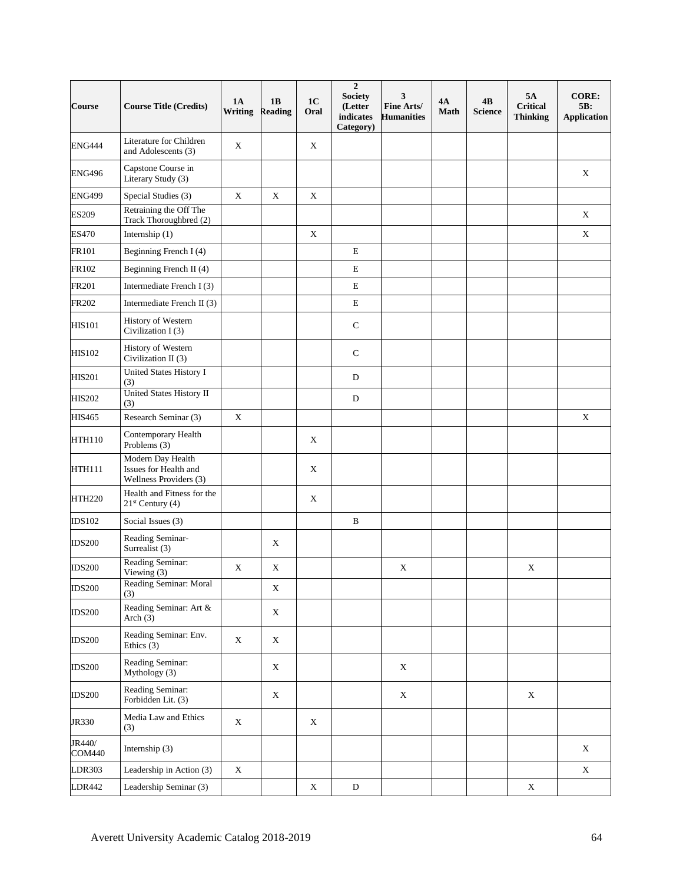| Course                  | <b>Course Title (Credits)</b>                                        | <b>1A</b><br><b>Writing</b> | 1B<br><b>Reading</b> | 1 <sub>C</sub><br>Oral | $\overline{2}$<br><b>Society</b><br>(Letter<br>indicates<br>Category) | 3<br>Fine Arts/<br><b>Humanities</b> | 4A<br><b>Math</b> | 4B<br><b>Science</b> | 5A<br><b>Critical</b><br><b>Thinking</b> | <b>CORE:</b><br>5B:<br><b>Application</b> |
|-------------------------|----------------------------------------------------------------------|-----------------------------|----------------------|------------------------|-----------------------------------------------------------------------|--------------------------------------|-------------------|----------------------|------------------------------------------|-------------------------------------------|
| <b>ENG444</b>           | Literature for Children<br>and Adolescents (3)                       | $\mathbf X$                 |                      | $\mathbf X$            |                                                                       |                                      |                   |                      |                                          |                                           |
| <b>ENG496</b>           | Capstone Course in<br>Literary Study (3)                             |                             |                      |                        |                                                                       |                                      |                   |                      |                                          | $\mathbf X$                               |
| <b>ENG499</b>           | Special Studies (3)                                                  | $\mathbf X$                 | $\mathbf X$          | $\mathbf X$            |                                                                       |                                      |                   |                      |                                          |                                           |
| <b>ES209</b>            | Retraining the Off The<br>Track Thoroughbred (2)                     |                             |                      |                        |                                                                       |                                      |                   |                      |                                          | $\mathbf X$                               |
| ES470                   | Internship (1)                                                       |                             |                      | $\mathbf X$            |                                                                       |                                      |                   |                      |                                          | $\mathbf X$                               |
| FR101                   | Beginning French I (4)                                               |                             |                      |                        | $\mathbf E$                                                           |                                      |                   |                      |                                          |                                           |
| FR102                   | Beginning French II (4)                                              |                             |                      |                        | ${\bf E}$                                                             |                                      |                   |                      |                                          |                                           |
| FR201                   | Intermediate French I (3)                                            |                             |                      |                        | E                                                                     |                                      |                   |                      |                                          |                                           |
| FR202                   | Intermediate French II (3)                                           |                             |                      |                        | ${\bf E}$                                                             |                                      |                   |                      |                                          |                                           |
| <b>HIS101</b>           | History of Western<br>Civilization I(3)                              |                             |                      |                        | $\mathbf C$                                                           |                                      |                   |                      |                                          |                                           |
| <b>HIS102</b>           | History of Western<br>Civilization II (3)                            |                             |                      |                        | $\mathsf{C}$                                                          |                                      |                   |                      |                                          |                                           |
| <b>HIS201</b>           | <b>United States History I</b><br>(3)                                |                             |                      |                        | D                                                                     |                                      |                   |                      |                                          |                                           |
| <b>HIS202</b>           | United States History II<br>(3)                                      |                             |                      |                        | $\mathbf D$                                                           |                                      |                   |                      |                                          |                                           |
| <b>HIS465</b>           | Research Seminar (3)                                                 | $\mathbf X$                 |                      |                        |                                                                       |                                      |                   |                      |                                          | $\mathbf X$                               |
| <b>HTH110</b>           | Contemporary Health<br>Problems (3)                                  |                             |                      | X                      |                                                                       |                                      |                   |                      |                                          |                                           |
| <b>HTH111</b>           | Modern Day Health<br>Issues for Health and<br>Wellness Providers (3) |                             |                      | X                      |                                                                       |                                      |                   |                      |                                          |                                           |
| <b>HTH220</b>           | Health and Fitness for the<br>$21st$ Century (4)                     |                             |                      | X                      |                                                                       |                                      |                   |                      |                                          |                                           |
| <b>IDS102</b>           | Social Issues (3)                                                    |                             |                      |                        | $\, {\bf B}$                                                          |                                      |                   |                      |                                          |                                           |
| <b>IDS200</b>           | Reading Seminar-<br>Surrealist (3)                                   |                             | X                    |                        |                                                                       |                                      |                   |                      |                                          |                                           |
| <b>IDS200</b>           | Reading Seminar:<br>Viewing (3)                                      | $\mathbf X$                 | $\mathbf X$          |                        |                                                                       | X                                    |                   |                      | $\mathbf X$                              |                                           |
| <b>IDS200</b>           | Reading Seminar: Moral<br>(3)                                        |                             | $\mathbf X$          |                        |                                                                       |                                      |                   |                      |                                          |                                           |
| <b>IDS200</b>           | Reading Seminar: Art &<br>Arch $(3)$                                 |                             | X                    |                        |                                                                       |                                      |                   |                      |                                          |                                           |
| <b>IDS200</b>           | Reading Seminar: Env.<br>Ethics $(3)$                                | $\mathbf X$                 | X                    |                        |                                                                       |                                      |                   |                      |                                          |                                           |
| <b>IDS200</b>           | Reading Seminar:<br>Mythology (3)                                    |                             | X                    |                        |                                                                       | X                                    |                   |                      |                                          |                                           |
| <b>IDS200</b>           | Reading Seminar:<br>Forbidden Lit. (3)                               |                             | $\mathbf X$          |                        |                                                                       | $\mathbf X$                          |                   |                      | $\mathbf X$                              |                                           |
| JR330                   | Media Law and Ethics<br>(3)                                          | $\mathbf X$                 |                      | X                      |                                                                       |                                      |                   |                      |                                          |                                           |
| JR440/<br><b>COM440</b> | Internship (3)                                                       |                             |                      |                        |                                                                       |                                      |                   |                      |                                          | $\mathbf X$                               |
| LDR303                  | Leadership in Action (3)                                             | $\mathbf X$                 |                      |                        |                                                                       |                                      |                   |                      |                                          | $\mathbf X$                               |
| LDR442                  | Leadership Seminar (3)                                               |                             |                      | $\mathbf X$            | D                                                                     |                                      |                   |                      | $\mathbf X$                              |                                           |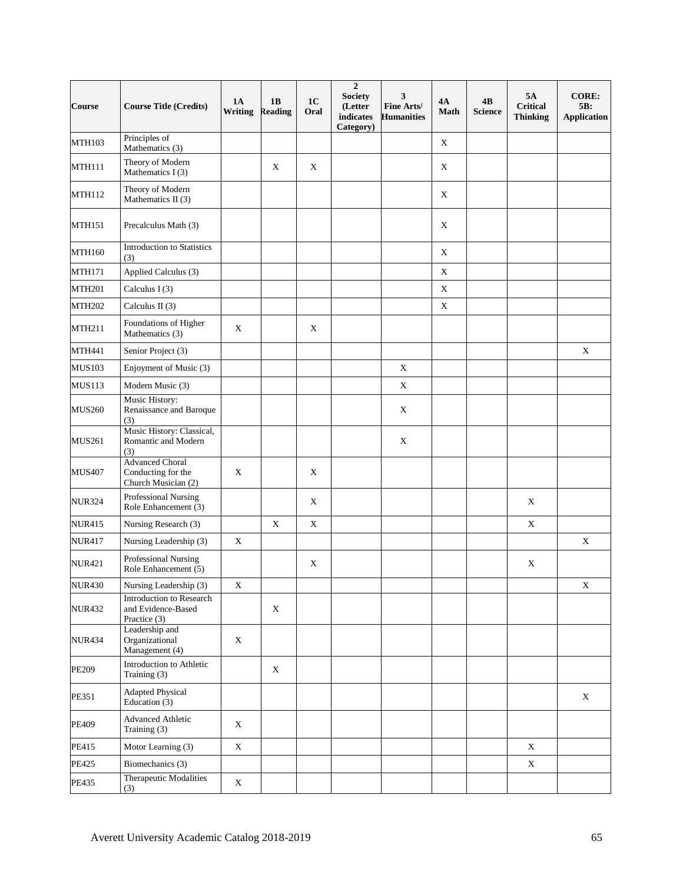| Course        | <b>Course Title (Credits)</b>                                       | <b>1A</b><br><b>Writing</b> | 1B<br><b>Reading</b> | 1 <sub>C</sub><br>Oral | $\overline{2}$<br><b>Society</b><br>(Letter<br>indicates<br>Category) | 3<br>Fine Arts/<br><b>Humanities</b> | 4A<br><b>Math</b> | 4B<br><b>Science</b> | 5A<br><b>Critical</b><br><b>Thinking</b> | <b>CORE:</b><br>5B:<br><b>Application</b> |
|---------------|---------------------------------------------------------------------|-----------------------------|----------------------|------------------------|-----------------------------------------------------------------------|--------------------------------------|-------------------|----------------------|------------------------------------------|-------------------------------------------|
| <b>MTH103</b> | Principles of<br>Mathematics (3)                                    |                             |                      |                        |                                                                       |                                      | $\mathbf X$       |                      |                                          |                                           |
| <b>MTH111</b> | Theory of Modern<br>Mathematics I (3)                               |                             | $\mathbf X$          | $\mathbf X$            |                                                                       |                                      | $\mathbf X$       |                      |                                          |                                           |
| MTH112        | Theory of Modern<br>Mathematics II (3)                              |                             |                      |                        |                                                                       |                                      | $\mathbf X$       |                      |                                          |                                           |
| <b>MTH151</b> | Precalculus Math (3)                                                |                             |                      |                        |                                                                       |                                      | $\mathbf X$       |                      |                                          |                                           |
| <b>MTH160</b> | <b>Introduction</b> to Statistics<br>(3)                            |                             |                      |                        |                                                                       |                                      | $\mathbf X$       |                      |                                          |                                           |
| <b>MTH171</b> | Applied Calculus (3)                                                |                             |                      |                        |                                                                       |                                      | $\mathbf X$       |                      |                                          |                                           |
| <b>MTH201</b> | Calculus $I(3)$                                                     |                             |                      |                        |                                                                       |                                      | $\mathbf X$       |                      |                                          |                                           |
| <b>MTH202</b> | Calculus II $(3)$                                                   |                             |                      |                        |                                                                       |                                      | $\mathbf X$       |                      |                                          |                                           |
| MTH211        | Foundations of Higher<br>Mathematics (3)                            | $\mathbf X$                 |                      | $\mathbf X$            |                                                                       |                                      |                   |                      |                                          |                                           |
| <b>MTH441</b> | Senior Project (3)                                                  |                             |                      |                        |                                                                       |                                      |                   |                      |                                          | $\mathbf X$                               |
| <b>MUS103</b> | Enjoyment of Music (3)                                              |                             |                      |                        |                                                                       | $\mathbf X$                          |                   |                      |                                          |                                           |
| <b>MUS113</b> | Modern Music (3)                                                    |                             |                      |                        |                                                                       | $\mathbf X$                          |                   |                      |                                          |                                           |
| <b>MUS260</b> | Music History:<br>Renaissance and Baroque<br>(3)                    |                             |                      |                        |                                                                       | X                                    |                   |                      |                                          |                                           |
| <b>MUS261</b> | Music History: Classical,<br>Romantic and Modern<br>(3)             |                             |                      |                        |                                                                       | $\mathbf X$                          |                   |                      |                                          |                                           |
| <b>MUS407</b> | <b>Advanced Choral</b><br>Conducting for the<br>Church Musician (2) | $\mathbf X$                 |                      | $\mathbf X$            |                                                                       |                                      |                   |                      |                                          |                                           |
| <b>NUR324</b> | Professional Nursing<br>Role Enhancement (3)                        |                             |                      | $\mathbf X$            |                                                                       |                                      |                   |                      | X                                        |                                           |
| <b>NUR415</b> | Nursing Research (3)                                                |                             | $\mathbf X$          | $\mathbf X$            |                                                                       |                                      |                   |                      | $\mathbf X$                              |                                           |
| <b>NUR417</b> | Nursing Leadership (3)                                              | $\mathbf X$                 |                      |                        |                                                                       |                                      |                   |                      |                                          | $\mathbf X$                               |
| <b>NUR421</b> | Professional Nursing<br>Role Enhancement (5)                        |                             |                      | X                      |                                                                       |                                      |                   |                      | X                                        |                                           |
| <b>NUR430</b> | Nursing Leadership (3)                                              | $\mathbf X$                 |                      |                        |                                                                       |                                      |                   |                      |                                          | X                                         |
| <b>NUR432</b> | Introduction to Research<br>and Evidence-Based<br>Practice (3)      |                             | $\mathbf X$          |                        |                                                                       |                                      |                   |                      |                                          |                                           |
| <b>NUR434</b> | Leadership and<br>Organizational<br>Management (4)                  | $\mathbf X$                 |                      |                        |                                                                       |                                      |                   |                      |                                          |                                           |
| <b>PE209</b>  | Introduction to Athletic<br>Training (3)                            |                             | $\mathbf X$          |                        |                                                                       |                                      |                   |                      |                                          |                                           |
| PE351         | <b>Adapted Physical</b><br>Education (3)                            |                             |                      |                        |                                                                       |                                      |                   |                      |                                          | $\mathbf X$                               |
| PE409         | <b>Advanced Athletic</b><br>Training (3)                            | $\mathbf X$                 |                      |                        |                                                                       |                                      |                   |                      |                                          |                                           |
| PE415         | Motor Learning (3)                                                  | $\mathbf X$                 |                      |                        |                                                                       |                                      |                   |                      | $\mathbf X$                              |                                           |
| PE425         | Biomechanics (3)                                                    |                             |                      |                        |                                                                       |                                      |                   |                      | $\mathbf X$                              |                                           |
| PE435         | Therapeutic Modalities<br>(3)                                       | $\mathbf X$                 |                      |                        |                                                                       |                                      |                   |                      |                                          |                                           |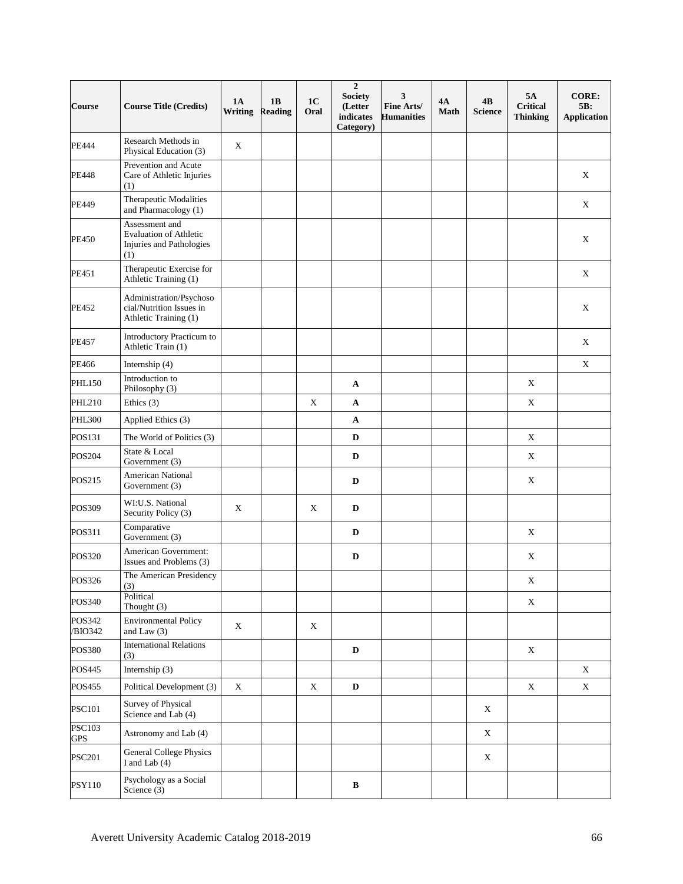| <b>Course</b>               | <b>Course Title (Credits)</b>                                                | <b>1A</b><br>Writing | 1B<br><b>Reading</b> | 1 <sub>C</sub><br>Oral | $\overline{2}$<br><b>Society</b><br>(Letter<br>indicates<br>Category) | 3<br>Fine Arts/<br><b>Humanities</b> | 4A<br><b>Math</b> | 4B<br><b>Science</b>      | 5A<br><b>Critical</b><br><b>Thinking</b> | <b>CORE:</b><br>5B:<br><b>Application</b> |
|-----------------------------|------------------------------------------------------------------------------|----------------------|----------------------|------------------------|-----------------------------------------------------------------------|--------------------------------------|-------------------|---------------------------|------------------------------------------|-------------------------------------------|
| <b>PE444</b>                | Research Methods in<br>Physical Education (3)                                | $\mathbf X$          |                      |                        |                                                                       |                                      |                   |                           |                                          |                                           |
| <b>PE448</b>                | Prevention and Acute<br>Care of Athletic Injuries<br>(1)                     |                      |                      |                        |                                                                       |                                      |                   |                           |                                          | $\mathbf X$                               |
| PE449                       | Therapeutic Modalities<br>and Pharmacology (1)                               |                      |                      |                        |                                                                       |                                      |                   |                           |                                          | X                                         |
| <b>PE450</b>                | Assessment and<br>Evaluation of Athletic<br>Injuries and Pathologies<br>(1)  |                      |                      |                        |                                                                       |                                      |                   |                           |                                          | $\mathbf X$                               |
| PE451                       | Therapeutic Exercise for<br>Athletic Training (1)                            |                      |                      |                        |                                                                       |                                      |                   |                           |                                          | $\mathbf X$                               |
| PE452                       | Administration/Psychoso<br>cial/Nutrition Issues in<br>Athletic Training (1) |                      |                      |                        |                                                                       |                                      |                   |                           |                                          | $\mathbf X$                               |
| PE457                       | Introductory Practicum to<br>Athletic Train (1)                              |                      |                      |                        |                                                                       |                                      |                   |                           |                                          | $\mathbf X$                               |
| PE466                       | Internship (4)                                                               |                      |                      |                        |                                                                       |                                      |                   |                           |                                          | $\mathbf X$                               |
| <b>PHL150</b>               | Introduction to<br>Philosophy (3)                                            |                      |                      |                        | A                                                                     |                                      |                   |                           | $\mathbf X$                              |                                           |
| <b>PHL210</b>               | Ethics $(3)$                                                                 |                      |                      | $\mathbf X$            | $\mathbf A$                                                           |                                      |                   |                           | X                                        |                                           |
| <b>PHL300</b>               | Applied Ethics (3)                                                           |                      |                      |                        | $\mathbf A$                                                           |                                      |                   |                           |                                          |                                           |
| POS131                      | The World of Politics (3)                                                    |                      |                      |                        | $\mathbf D$                                                           |                                      |                   |                           | $\mathbf X$                              |                                           |
| POS204                      | State & Local<br>Government (3)                                              |                      |                      |                        | D                                                                     |                                      |                   |                           | X                                        |                                           |
| POS215                      | American National<br>Government (3)                                          |                      |                      |                        | $\mathbf D$                                                           |                                      |                   |                           | $\mathbf X$                              |                                           |
| POS309                      | WI:U.S. National<br>Security Policy (3)                                      | X                    |                      | X                      | $\mathbf D$                                                           |                                      |                   |                           |                                          |                                           |
| POS311                      | Comparative<br>Government (3)                                                |                      |                      |                        | $\mathbf D$                                                           |                                      |                   |                           | $\mathbf X$                              |                                           |
| POS320                      | American Government:<br>Issues and Problems (3)                              |                      |                      |                        | $\mathbf D$                                                           |                                      |                   |                           | $\mathbf X$                              |                                           |
| POS326                      | The American Presidency<br>(3)                                               |                      |                      |                        |                                                                       |                                      |                   |                           | $\mathbf X$                              |                                           |
| POS340                      | Political<br>Thought $(3)$                                                   |                      |                      |                        |                                                                       |                                      |                   |                           | X                                        |                                           |
| POS342<br>/BIO342           | <b>Environmental Policy</b><br>and Law $(3)$                                 | $\mathbf X$          |                      | $\mathbf X$            |                                                                       |                                      |                   |                           |                                          |                                           |
| <b>POS380</b>               | <b>International Relations</b><br>(3)                                        |                      |                      |                        | D                                                                     |                                      |                   |                           | $\mathbf X$                              |                                           |
| POS445                      | Internship (3)                                                               |                      |                      |                        |                                                                       |                                      |                   |                           |                                          | X                                         |
| POS455                      | Political Development (3)                                                    | $\mathbf X$          |                      | $\mathbf X$            | $\mathbf D$                                                           |                                      |                   |                           | $\mathbf X$                              | $\mathbf X$                               |
| <b>PSC101</b>               | Survey of Physical<br>Science and Lab (4)                                    |                      |                      |                        |                                                                       |                                      |                   | X                         |                                          |                                           |
| <b>PSC103</b><br><b>GPS</b> | Astronomy and Lab (4)                                                        |                      |                      |                        |                                                                       |                                      |                   | $\mathbf X$               |                                          |                                           |
| <b>PSC201</b>               | <b>General College Physics</b><br>I and Lab (4)                              |                      |                      |                        |                                                                       |                                      |                   | $\boldsymbol{\mathrm{X}}$ |                                          |                                           |
| <b>PSY110</b>               | Psychology as a Social<br>Science (3)                                        |                      |                      |                        | $\, {\bf B}$                                                          |                                      |                   |                           |                                          |                                           |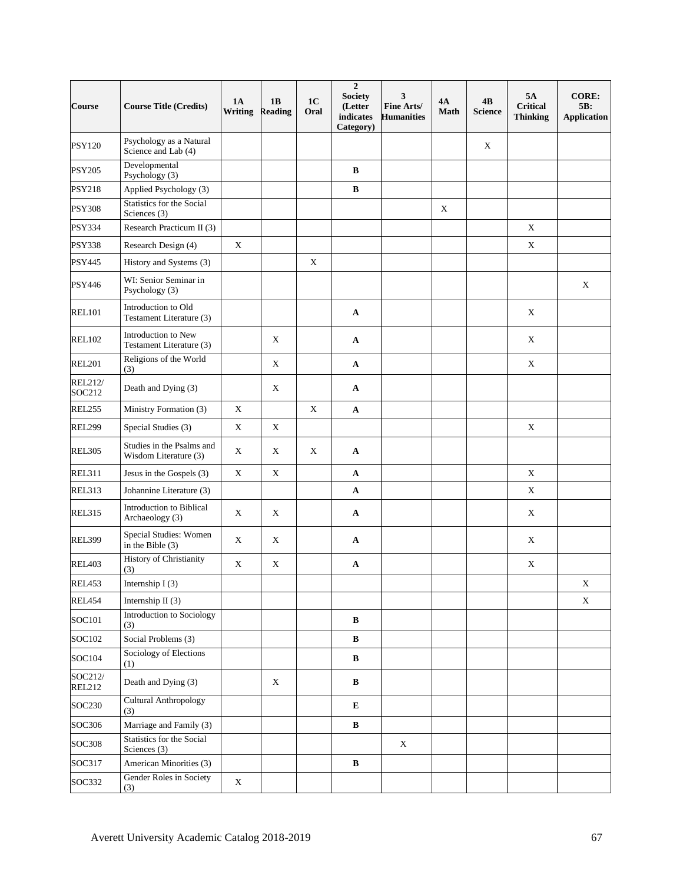| <b>Course</b>            | <b>Course Title (Credits)</b>                      | <b>1A</b><br>Writing | 1B<br><b>Reading</b> | 1 <sub>C</sub><br>Oral | $\overline{2}$<br><b>Society</b><br>(Letter<br>indicates<br>Category) | 3<br>Fine Arts/<br><b>Humanities</b> | 4A<br>Math | 4B<br><b>Science</b> | 5A<br><b>Critical</b><br><b>Thinking</b> | <b>CORE:</b><br>5B:<br><b>Application</b> |
|--------------------------|----------------------------------------------------|----------------------|----------------------|------------------------|-----------------------------------------------------------------------|--------------------------------------|------------|----------------------|------------------------------------------|-------------------------------------------|
| <b>PSY120</b>            | Psychology as a Natural<br>Science and Lab (4)     |                      |                      |                        |                                                                       |                                      |            | $\mathbf X$          |                                          |                                           |
| <b>PSY205</b>            | Developmental<br>Psychology (3)                    |                      |                      |                        | B                                                                     |                                      |            |                      |                                          |                                           |
| <b>PSY218</b>            | Applied Psychology (3)                             |                      |                      |                        | $\, {\bf B}$                                                          |                                      |            |                      |                                          |                                           |
| <b>PSY308</b>            | Statistics for the Social<br>Sciences (3)          |                      |                      |                        |                                                                       |                                      | X          |                      |                                          |                                           |
| <b>PSY334</b>            | Research Practicum II (3)                          |                      |                      |                        |                                                                       |                                      |            |                      | $\mathbf X$                              |                                           |
| <b>PSY338</b>            | Research Design (4)                                | $\mathbf X$          |                      |                        |                                                                       |                                      |            |                      | $\mathbf X$                              |                                           |
| <b>PSY445</b>            | History and Systems (3)                            |                      |                      | X                      |                                                                       |                                      |            |                      |                                          |                                           |
| PSY446                   | WI: Senior Seminar in<br>Psychology (3)            |                      |                      |                        |                                                                       |                                      |            |                      |                                          | X                                         |
| <b>REL101</b>            | Introduction to Old<br>Testament Literature (3)    |                      |                      |                        | A                                                                     |                                      |            |                      | X                                        |                                           |
| <b>REL102</b>            | Introduction to New<br>Testament Literature (3)    |                      | X                    |                        | $\mathbf{A}$                                                          |                                      |            |                      | X                                        |                                           |
| <b>REL201</b>            | Religions of the World<br>(3)                      |                      | $\mathbf X$          |                        | A                                                                     |                                      |            |                      | $\mathbf X$                              |                                           |
| <b>REL212/</b><br>SOC212 | Death and Dying (3)                                |                      | $\mathbf X$          |                        | $\boldsymbol{\rm{A}}$                                                 |                                      |            |                      |                                          |                                           |
| <b>REL255</b>            | Ministry Formation (3)                             | $\mathbf X$          |                      | $\mathbf X$            | $\boldsymbol{\rm{A}}$                                                 |                                      |            |                      |                                          |                                           |
| <b>REL299</b>            | Special Studies (3)                                | $\mathbf X$          | $\mathbf X$          |                        |                                                                       |                                      |            |                      | $\mathbf X$                              |                                           |
| <b>REL305</b>            | Studies in the Psalms and<br>Wisdom Literature (3) | $\mathbf X$          | X                    | X                      | $\mathbf{A}$                                                          |                                      |            |                      |                                          |                                           |
| <b>REL311</b>            | Jesus in the Gospels (3)                           | $\mathbf X$          | $\mathbf X$          |                        | $\mathbf{A}$                                                          |                                      |            |                      | $\mathbf X$                              |                                           |
| <b>REL313</b>            | Johannine Literature (3)                           |                      |                      |                        | $\mathbf A$                                                           |                                      |            |                      | X                                        |                                           |
| <b>REL315</b>            | <b>Introduction to Biblical</b><br>Archaeology (3) | $\mathbf X$          | X                    |                        | A                                                                     |                                      |            |                      | X                                        |                                           |
| <b>REL399</b>            | Special Studies: Women<br>in the Bible $(3)$       | $\mathbf X$          | X                    |                        | A                                                                     |                                      |            |                      | X                                        |                                           |
| <b>REL403</b>            | <b>History of Christianity</b><br>(3)              | X                    | $\mathbf X$          |                        | A                                                                     |                                      |            |                      | X                                        |                                           |
| REL453                   | Internship I(3)                                    |                      |                      |                        |                                                                       |                                      |            |                      |                                          | X                                         |
| REL454                   | Internship II $(3)$                                |                      |                      |                        |                                                                       |                                      |            |                      |                                          | X                                         |
| SOC101                   | Introduction to Sociology<br>(3)                   |                      |                      |                        | $\bf{B}$                                                              |                                      |            |                      |                                          |                                           |
| SOC102                   | Social Problems (3)                                |                      |                      |                        | $\, {\bf B}$                                                          |                                      |            |                      |                                          |                                           |
| SOC104                   | Sociology of Elections<br>(1)                      |                      |                      |                        | $\, {\bf B}$                                                          |                                      |            |                      |                                          |                                           |
| SOC212/<br><b>REL212</b> | Death and Dying (3)                                |                      | $\mathbf X$          |                        | $\bf{B}$                                                              |                                      |            |                      |                                          |                                           |
| SOC230                   | <b>Cultural Anthropology</b><br>(3)                |                      |                      |                        | E                                                                     |                                      |            |                      |                                          |                                           |
| SOC306                   | Marriage and Family (3)                            |                      |                      |                        | $\bf{B}$                                                              |                                      |            |                      |                                          |                                           |
| <b>SOC308</b>            | Statistics for the Social<br>Sciences (3)          |                      |                      |                        |                                                                       | X                                    |            |                      |                                          |                                           |
| SOC317                   | American Minorities (3)                            |                      |                      |                        | $\, {\bf B}$                                                          |                                      |            |                      |                                          |                                           |
| SOC332                   | Gender Roles in Society<br>(3)                     | $\mathbf X$          |                      |                        |                                                                       |                                      |            |                      |                                          |                                           |